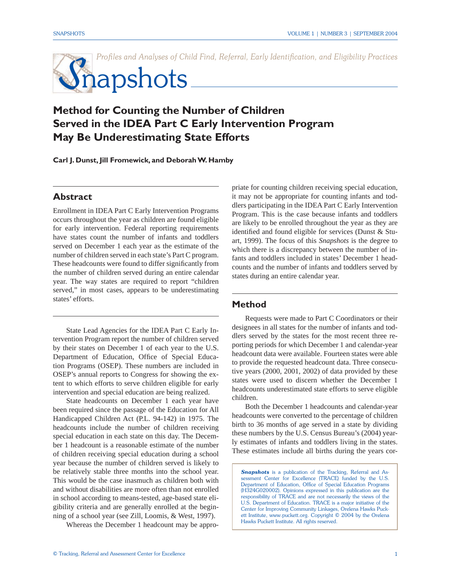

# **Method for Counting the Number of Children Served in the IDEA Part C Early Intervention Program May Be Underestimating State Efforts**

**Carl J. Dunst, Jill Fromewick, and Deborah W. Hamby**

# **Abstract**

Enrollment in IDEA Part C Early Intervention Programs occurs throughout the year as children are found eligible for early intervention. Federal reporting requirements have states count the number of infants and toddlers served on December 1 each year as the estimate of the number of children served in each state's Part C program. These headcounts were found to differ significantly from the number of children served during an entire calendar year. The way states are required to report "children served," in most cases, appears to be underestimating states' efforts.

State Lead Agencies for the IDEA Part C Early Intervention Program report the number of children served by their states on December 1 of each year to the U.S. Department of Education, Office of Special Education Programs (OSEP). These numbers are included in OSEP's annual reports to Congress for showing the extent to which efforts to serve children eligible for early intervention and special education are being realized.

State headcounts on December 1 each year have been required since the passage of the Education for All Handicapped Children Act (P.L. 94-142) in 1975. The headcounts include the number of children receiving special education in each state on this day. The December 1 headcount is a reasonable estimate of the number of children receiving special education during a school year because the number of children served is likely to be relatively stable three months into the school year. This would be the case inasmuch as children both with and without disabilities are more often than not enrolled in school according to means-tested, age-based state eligibility criteria and are generally enrolled at the beginning of a school year (see Zill, Loomis, & West, 1997).

Whereas the December 1 headcount may be appro-

priate for counting children receiving special education, it may not be appropriate for counting infants and toddlers participating in the IDEA Part C Early Intervention Program. This is the case because infants and toddlers are likely to be enrolled throughout the year as they are identified and found eligible for services (Dunst  $&$  Stuart, 1999). The focus of this *Snapshots* is the degree to which there is a discrepancy between the number of infants and toddlers included in states' December 1 headcounts and the number of infants and toddlers served by states during an entire calendar year.

#### **Method**

Requests were made to Part C Coordinators or their designees in all states for the number of infants and toddlers served by the states for the most recent three reporting periods for which December 1 and calendar-year headcount data were available. Fourteen states were able to provide the requested headcount data. Three consecutive years (2000, 2001, 2002) of data provided by these states were used to discern whether the December 1 headcounts underestimated state efforts to serve eligible children.

Both the December 1 headcounts and calendar-year headcounts were converted to the percentage of children birth to 36 months of age served in a state by dividing these numbers by the U.S. Census Bureau's (2004) yearly estimates of infants and toddlers living in the states. These estimates include all births during the years cor-

**Snapshots** is a publication of the Tracking, Referral and Assessment Center for Excellence (TRACE) funded by the U.S. Department of Education, Office of Special Education Programs (H324G020002). Opinions expressed in this publication are the responsibility of TRACE and are not necessarily the views of the U.S. Department of Education. TRACE is a major initiative of the Center for Improving Community Linkages, Orelena Hawks Puckett Institute, www.puckett.org. Copyright © 2004 by the Orelena Hawks Puckett Institute. All rights reserved.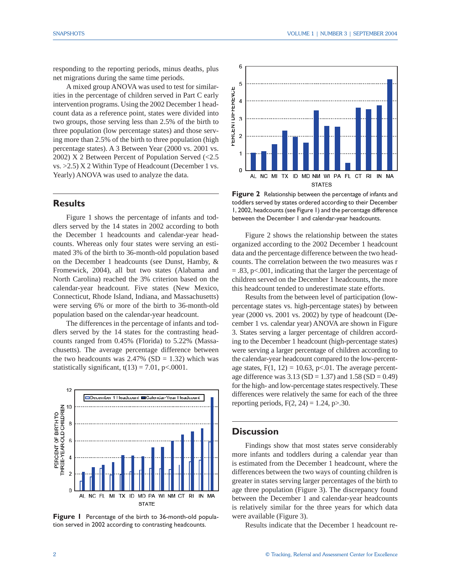responding to the reporting periods, minus deaths, plus net migrations during the same time periods.

A mixed group ANOVA was used to test for similarities in the percentage of children served in Part C early intervention programs. Using the 2002 December 1 headcount data as a reference point, states were divided into two groups, those serving less than 2.5% of the birth to three population (low percentage states) and those serving more than 2.5% of the birth to three population (high percentage states). A 3 Between Year (2000 vs. 2001 vs. 2002) X 2 Between Percent of Population Served (<2.5 vs. >2.5) X 2 Within Type of Headcount (December 1 vs. Yearly) ANOVA was used to analyze the data.

## **Results**

Figure 1 shows the percentage of infants and toddlers served by the 14 states in 2002 according to both the December 1 headcounts and calendar-year headcounts. Whereas only four states were serving an estimated 3% of the birth to 36-month-old population based on the December 1 headcounts (see Dunst, Hamby, & Fromewick, 2004), all but two states (Alabama and North Carolina) reached the 3% criterion based on the calendar-year headcount. Five states (New Mexico, Connecticut, Rhode Island, Indiana, and Massachusetts) were serving 6% or more of the birth to 36-month-old population based on the calendar-year headcount.

The differences in the percentage of infants and toddlers served by the 14 states for the contrasting headcounts ranged from 0.45% (Florida) to 5.22% (Massachusetts). The average percentage difference between the two headcounts was  $2.47\%$  (SD = 1.32) which was statistically significant,  $t(13) = 7.01$ , p<.0001.



**Figure 1** Percentage of the birth to 36-month-old population served in 2002 according to contrasting headcounts.



**Figure 2** Relationship between the percentage of infants and toddlers served by states ordered according to their December 1, 2002, headcounts (see Figure 1) and the percentage difference between the December 1 and calendar-year headcounts.

Figure 2 shows the relationship between the states organized according to the 2002 December 1 headcount data and the percentage difference between the two headcounts. The correlation between the two measures was r = .83, p<.001, indicating that the larger the percentage of children served on the December 1 headcounts, the more this headcount tended to underestimate state efforts.

Results from the between level of participation (lowpercentage states vs. high-percentage states) by between year (2000 vs. 2001 vs. 2002) by type of headcount (December 1 vs. calendar year) ANOVA are shown in Figure 3. States serving a larger percentage of children according to the December 1 headcount (high-percentage states) were serving a larger percentage of children according to the calendar-year headcount compared to the low-percentage states,  $F(1, 12) = 10.63$ , p<01. The average percentage difference was  $3.13$  (SD = 1.37) and  $1.58$  (SD = 0.49) for the high- and low-percentage states respectively. These differences were relatively the same for each of the three reporting periods,  $F(2, 24) = 1.24$ , p $> 30$ .

### **Discussion**

Findings show that most states serve considerably more infants and toddlers during a calendar year than is estimated from the December 1 headcount, where the differences between the two ways of counting children is greater in states serving larger percentages of the birth to age three population (Figure 3). The discrepancy found between the December 1 and calendar-year headcounts is relatively similar for the three years for which data were available (Figure 3).

Results indicate that the December 1 headcount re-